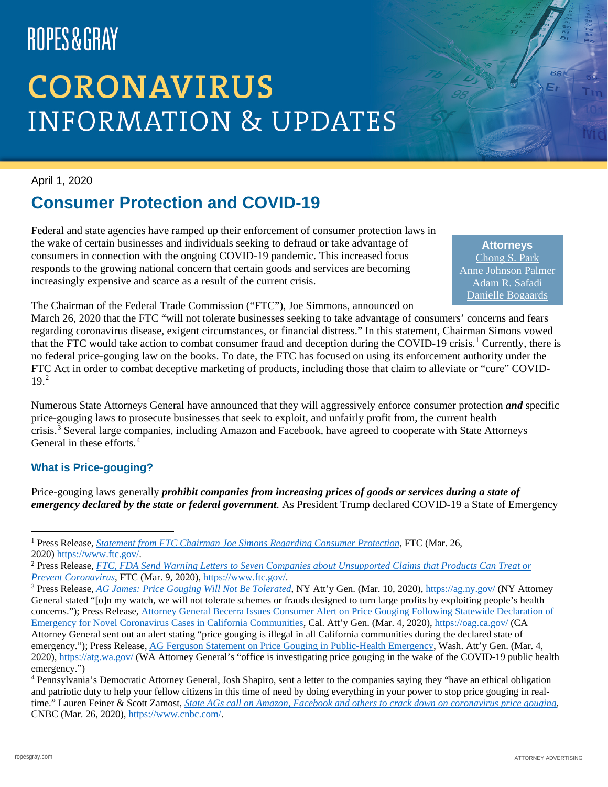# ROPES&GRAY

## **CORONAVIRUS INFORMATION & UPDATES**

April 1, 2020

### **Consumer Protection and COVID-19**

Federal and state agencies have ramped up their enforcement of consumer protection laws in the wake of certain businesses and individuals seeking to defraud or take advantage of consumers in connection with the ongoing COVID-19 pandemic. This increased focus responds to the growing national concern that certain goods and services are becoming increasingly expensive and scarce as a result of the current crisis.

**Attorneys** [Chong S. Park](https://www.ropesgray.com/en/biographies/p/chong-park) [Anne Johnson Palmer](https://www.ropesgray.com/en/biographies/p/anne-johnson-palmer) [Adam R. Safadi](https://www.ropesgray.com/en/biographies/s/adam-r-safadi) [Danielle Bogaards](https://www.ropesgray.com/en/biographies/b/Danielle-Bogaards)

The Chairman of the Federal Trade Commission ("FTC"), Joe Simmons, announced on

March 26, 2020 that the FTC "will not tolerate businesses seeking to take advantage of consumers' concerns and fears regarding coronavirus disease, exigent circumstances, or financial distress." In this statement, Chairman Simons vowed that the FTC would take action to combat consumer fraud and deception during the COVID-[1](#page-0-0)9 crisis.<sup>1</sup> Currently, there is no federal price-gouging law on the books. To date, the FTC has focused on using its enforcement authority under the FTC Act in order to combat deceptive marketing of products, including those that claim to alleviate or "cure" COVID-19.[2](#page-0-1)

Numerous State Attorneys General have announced that they will aggressively enforce consumer protection *and* specific price-gouging laws to prosecute businesses that seek to exploit, and unfairly profit from, the current health crisis.[3](#page-0-2) Several large companies, including Amazon and Facebook, have agreed to cooperate with State Attorneys General in these efforts.<sup>[4](#page-0-3)</sup>

### **What is Price-gouging?**

Price-gouging laws generally *prohibit companies from increasing prices of goods or services during a state of emergency declared by the state or federal government*. As President Trump declared COVID-19 a State of Emergency

<span id="page-0-0"></span> <sup>1</sup> Press Release, *[Statement from FTC Chairman Joe Simons Regarding Consumer Protection](https://www.ftc.gov/public-statements/2020/03/statement-ftc-chairman-joe-simons-regarding-consumer-protection)*, FTC (Mar. 26, 2020) [https://www.ftc.gov/.](https://www.ftc.gov/)

<span id="page-0-1"></span><sup>2</sup> Press Release, *[FTC, FDA Send Warning Letters to Seven Companies about Unsupported Claims that Products Can Treat or](https://www.ftc.gov/news-events/press-releases/2020/03/ftc-fda-send-warning-letters-seven-companies-about-unsupported)  [Prevent Coronavirus](https://www.ftc.gov/news-events/press-releases/2020/03/ftc-fda-send-warning-letters-seven-companies-about-unsupported)*, FTC (Mar. 9, 2020), [https://www.ftc.gov/.](https://www.ftc.gov/)

<span id="page-0-2"></span><sup>3</sup> Press Release, *[AG James: Price Gouging Will Not Be Tolerated](https://ag.ny.gov/press-release/2020/ag-james-price-gouging-will-not-be-tolerated)*, NY Att'y Gen. (Mar. 10, 2020), <https://ag.ny.gov/> (NY Attorney General stated "[o]n my watch, we will not tolerate schemes or frauds designed to turn large profits by exploiting people's health concerns."); Press Release, [Attorney General Becerra Issues Consumer Alert on Price Gouging Following Statewide Declaration of](https://oag.ca.gov/news/press-releases/attorney-general-becerra-issues-consumer-alert-price-gouging-following-statewide)  [Emergency for Novel Coronavirus Cases in California Communities,](https://oag.ca.gov/news/press-releases/attorney-general-becerra-issues-consumer-alert-price-gouging-following-statewide) Cal. Att'y Gen. (Mar. 4, 2020), <https://oag.ca.gov/> (CA Attorney General sent out an alert stating "price gouging is illegal in all California communities during the declared state of emergency."); Press Release, [AG Ferguson Statement on Price Gouging in Public-Health Emergency,](https://www.atg.wa.gov/news/news-releases/ag-ferguson-statement-price-gouging-public-health-emergency) Wash. Att'y Gen. (Mar. 4, 2020), [https://atg.wa.gov/](https://www.atg.wa.gov/) (WA Attorney General's "office is investigating price gouging in the wake of the COVID-19 public health emergency.")

<span id="page-0-3"></span><sup>4</sup> Pennsylvania's Democratic Attorney General, Josh Shapiro, sent a letter to the companies saying they "have an ethical obligation and patriotic duty to help your fellow citizens in this time of need by doing everything in your power to stop price gouging in realtime." Lauren Feiner & Scott Zamost, *[State AGs call on Amazon, Facebook and others to crack down on coronavirus price gouging](https://www.cnbc.com/2020/03/25/state-ags-call-on-amazon-and-others-to-prevent-coronavirus-price-gouging.html)*, CNBC (Mar. 26, 2020), [https://www.cnbc.com/.](https://www.cnbc.com/)